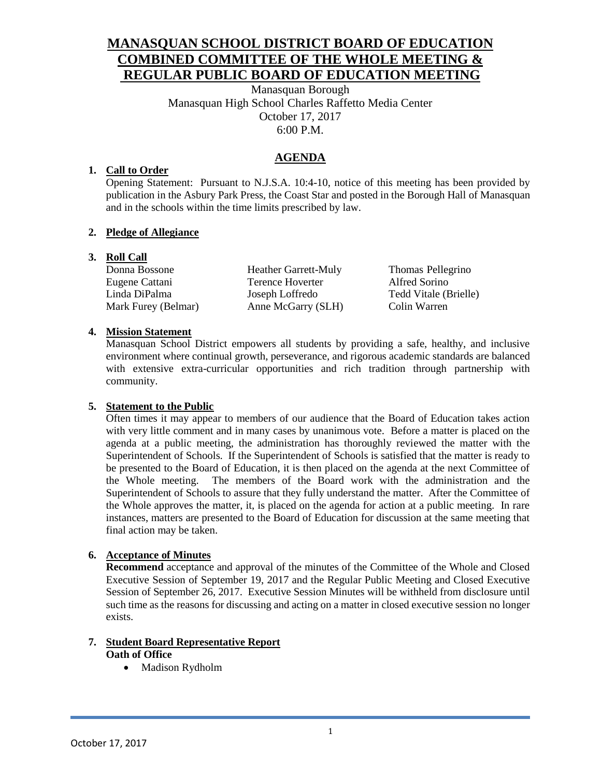# **MANASQUAN SCHOOL DISTRICT BOARD OF EDUCATION COMBINED COMMITTEE OF THE WHOLE MEETING & REGULAR PUBLIC BOARD OF EDUCATION MEETING**

Manasquan Borough Manasquan High School Charles Raffetto Media Center October 17, 2017 6:00 P.M.

## **AGENDA**

### **1. Call to Order**

Opening Statement: Pursuant to N.J.S.A. 10:4-10, notice of this meeting has been provided by publication in the Asbury Park Press, the Coast Star and posted in the Borough Hall of Manasquan and in the schools within the time limits prescribed by law.

### **2. Pledge of Allegiance**

### **3. Roll Call**

Eugene Cattani Terence Hoverter Alfred Sorino Linda DiPalma Joseph Loffredo Tedd Vitale (Brielle) Mark Furey (Belmar) Anne McGarry (SLH) Colin Warren

Donna Bossone Heather Garrett-Muly Thomas Pellegrino

### **4. Mission Statement**

Manasquan School District empowers all students by providing a safe, healthy, and inclusive environment where continual growth, perseverance, and rigorous academic standards are balanced with extensive extra-curricular opportunities and rich tradition through partnership with community.

### **5. Statement to the Public**

Often times it may appear to members of our audience that the Board of Education takes action with very little comment and in many cases by unanimous vote. Before a matter is placed on the agenda at a public meeting, the administration has thoroughly reviewed the matter with the Superintendent of Schools. If the Superintendent of Schools is satisfied that the matter is ready to be presented to the Board of Education, it is then placed on the agenda at the next Committee of the Whole meeting. The members of the Board work with the administration and the Superintendent of Schools to assure that they fully understand the matter. After the Committee of the Whole approves the matter, it, is placed on the agenda for action at a public meeting. In rare instances, matters are presented to the Board of Education for discussion at the same meeting that final action may be taken.

### **6. Acceptance of Minutes**

**Recommend** acceptance and approval of the minutes of the Committee of the Whole and Closed Executive Session of September 19, 2017 and the Regular Public Meeting and Closed Executive Session of September 26, 2017. Executive Session Minutes will be withheld from disclosure until such time as the reasons for discussing and acting on a matter in closed executive session no longer exists.

#### **7. Student Board Representative Report Oath of Office**

• Madison Rydholm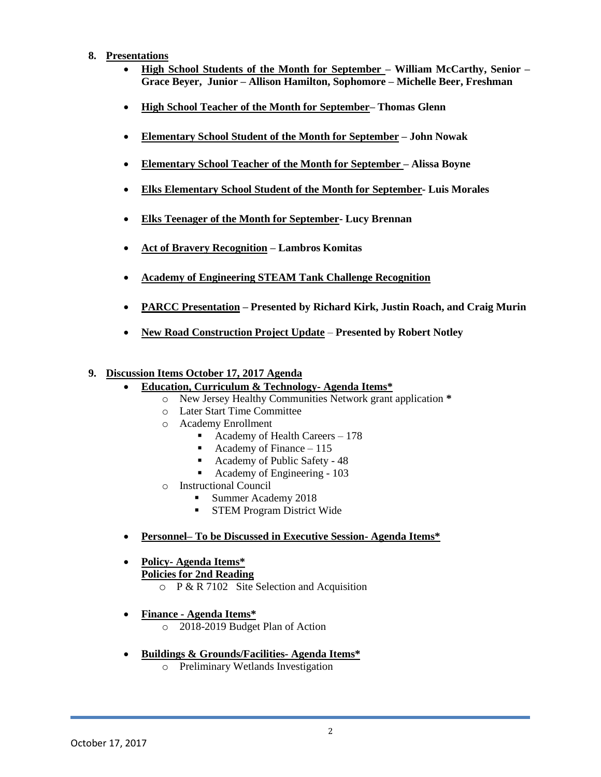#### **8. Presentations**

- **High School Students of the Month for September – William McCarthy, Senior – Grace Beyer, Junior – Allison Hamilton, Sophomore – Michelle Beer, Freshman**
- **High School Teacher of the Month for September– Thomas Glenn**
- **Elementary School Student of the Month for September – John Nowak**
- **Elementary School Teacher of the Month for September – Alissa Boyne**
- **Elks Elementary School Student of the Month for September- Luis Morales**
- **Elks Teenager of the Month for September- Lucy Brennan**
- **Act of Bravery Recognition – Lambros Komitas**
- **Academy of Engineering STEAM Tank Challenge Recognition**
- **PARCC Presentation – Presented by Richard Kirk, Justin Roach, and Craig Murin**
- **New Road Construction Project Update Presented by Robert Notley**

### **9. Discussion Items October 17, 2017 Agenda**

- **Education, Curriculum & Technology- Agenda Items\*** 
	- o New Jersey Healthy Communities Network grant application **\***
	- o Later Start Time Committee
	- o Academy Enrollment
		- Academy of Health Careers 178
		- Academy of Finance  $-115$
		- Academy of Public Safety 48
		- Academy of Engineering 103
	- o Instructional Council
		- Summer Academy 2018
		- **STEM Program District Wide**
- **Personnel– To be Discussed in Executive Session- Agenda Items\***
- **Policy- Agenda Items\* Policies for 2nd Reading** 
	- $\circ$  P & R 7102 Site Selection and Acquisition
- **Finance - Agenda Items\***
	- o 2018-2019 Budget Plan of Action
- **Buildings & Grounds/Facilities- Agenda Items\***
	- o Preliminary Wetlands Investigation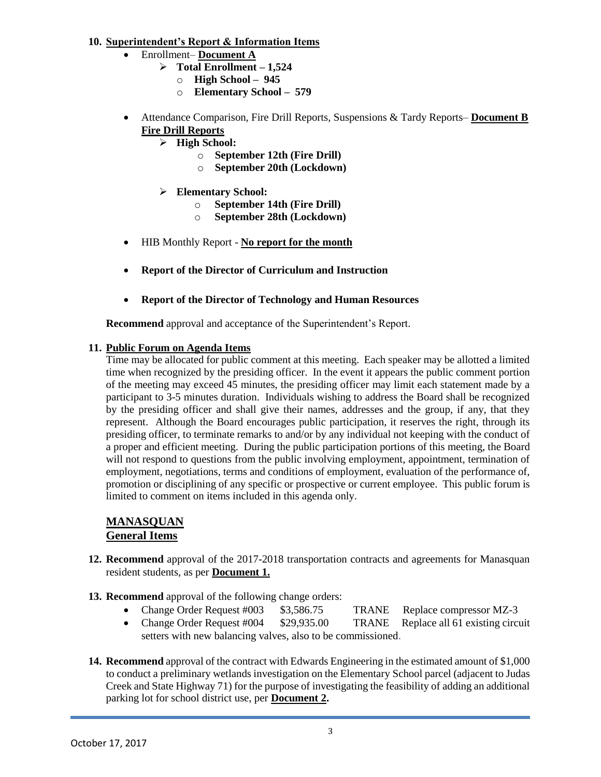#### **10. Superintendent's Report & Information Items**

- Enrollment– **Document A**
	- **Total Enrollment – 1,524**
		- o **High School – 945**
		- o **Elementary School – 579**
- Attendance Comparison, Fire Drill Reports, Suspensions & Tardy Reports– **Document B Fire Drill Reports**
	- **High School:**
		- o **September 12th (Fire Drill)**
		- o **September 20th (Lockdown)**
	- **Elementary School:**
		- o **September 14th (Fire Drill)**
		- o **September 28th (Lockdown)**
- HIB Monthly Report **No report for the month**
- **Report of the Director of Curriculum and Instruction**
- **Report of the Director of Technology and Human Resources**

**Recommend** approval and acceptance of the Superintendent's Report.

#### **11. Public Forum on Agenda Items**

Time may be allocated for public comment at this meeting. Each speaker may be allotted a limited time when recognized by the presiding officer. In the event it appears the public comment portion of the meeting may exceed 45 minutes, the presiding officer may limit each statement made by a participant to 3-5 minutes duration. Individuals wishing to address the Board shall be recognized by the presiding officer and shall give their names, addresses and the group, if any, that they represent. Although the Board encourages public participation, it reserves the right, through its presiding officer, to terminate remarks to and/or by any individual not keeping with the conduct of a proper and efficient meeting. During the public participation portions of this meeting, the Board will not respond to questions from the public involving employment, appointment, termination of employment, negotiations, terms and conditions of employment, evaluation of the performance of, promotion or disciplining of any specific or prospective or current employee. This public forum is limited to comment on items included in this agenda only.

### **MANASQUAN General Items**

- **12. Recommend** approval of the 2017-2018 transportation contracts and agreements for Manasquan resident students, as per **Document 1.**
- **13. Recommend** approval of the following change orders:
	- Change Order Request #003 \$3,586.75 TRANE Replace compressor MZ-3
	- Change Order Request #004 \$29,935.00 TRANE Replace all 61 existing circuit setters with new balancing valves, also to be commissioned.
- **14. Recommend** approval of the contract with Edwards Engineering in the estimated amount of \$1,000 to conduct a preliminary wetlands investigation on the Elementary School parcel (adjacent to Judas Creek and State Highway 71) for the purpose of investigating the feasibility of adding an additional parking lot for school district use, per **Document 2.**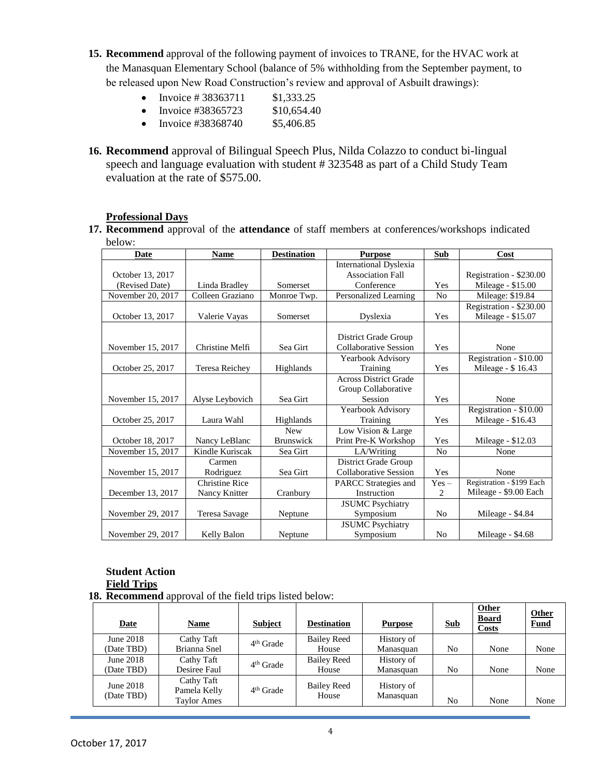**15. Recommend** approval of the following payment of invoices to TRANE, for the HVAC work at the Manasquan Elementary School (balance of 5% withholding from the September payment, to be released upon New Road Construction's review and approval of Asbuilt drawings):

| Invoice $\# 38363711$ | \$1,333.25 |
|-----------------------|------------|
|                       |            |

- Invoice #38365723  $$10,654.40$
- Invoice #38368740  $$5,406.85$
- **16. Recommend** approval of Bilingual Speech Plus, Nilda Colazzo to conduct bi-lingual speech and language evaluation with student # 323548 as part of a Child Study Team evaluation at the rate of \$575.00.

#### **Professional Days**

**17. Recommend** approval of the **attendance** of staff members at conferences/workshops indicated below:

| Date              | <b>Name</b>           | <b>Destination</b> | <b>Purpose</b>                | Sub            | Cost                      |
|-------------------|-----------------------|--------------------|-------------------------------|----------------|---------------------------|
|                   |                       |                    | <b>International Dyslexia</b> |                |                           |
| October 13, 2017  |                       |                    | <b>Association Fall</b>       |                | Registration - \$230.00   |
| (Revised Date)    | Linda Bradley         | Somerset           | Conference                    | Yes            | Mileage - \$15.00         |
| November 20, 2017 | Colleen Graziano      | Monroe Twp.        | Personalized Learning         | N <sub>0</sub> | Mileage: \$19.84          |
|                   |                       |                    |                               |                | Registration - \$230.00   |
| October 13, 2017  | Valerie Vayas         | Somerset           | Dyslexia                      | Yes            | Mileage - \$15.07         |
|                   |                       |                    |                               |                |                           |
|                   |                       |                    | District Grade Group          |                |                           |
| November 15, 2017 | Christine Melfi       | Sea Girt           | <b>Collaborative Session</b>  | Yes            | None                      |
|                   |                       |                    | Yearbook Advisory             |                | Registration - \$10.00    |
| October 25, 2017  | Teresa Reichey        | Highlands          | Training                      | Yes            | Mileage - \$16.43         |
|                   |                       |                    | <b>Across District Grade</b>  |                |                           |
|                   |                       |                    | Group Collaborative           |                |                           |
| November 15, 2017 | Alyse Leybovich       | Sea Girt           | Session                       | Yes            | None                      |
|                   |                       |                    | Yearbook Advisory             |                | Registration - \$10.00    |
| October 25, 2017  | Laura Wahl            | Highlands          | Training                      | Yes            | Mileage - \$16.43         |
|                   |                       | <b>New</b>         | Low Vision & Large            |                |                           |
| October 18, 2017  | Nancy LeBlanc         | <b>Brunswick</b>   | Print Pre-K Workshop          | Yes            | Mileage - \$12.03         |
| November 15, 2017 | Kindle Kuriscak       | Sea Girt           | LA/Writing                    | N <sub>0</sub> | None                      |
|                   | Carmen                |                    | District Grade Group          |                |                           |
| November 15, 2017 | Rodriguez             | Sea Girt           | <b>Collaborative Session</b>  | Yes            | None                      |
|                   | <b>Christine Rice</b> |                    | <b>PARCC</b> Strategies and   | $Yes -$        | Registration - \$199 Each |
| December 13, 2017 | Nancy Knitter         | Cranbury           | Instruction                   | 2              | Mileage - \$9.00 Each     |
|                   |                       |                    | <b>JSUMC</b> Psychiatry       |                |                           |
| November 29, 2017 | Teresa Savage         | Neptune            | Symposium                     | N <sub>0</sub> | Mileage - \$4.84          |
|                   |                       |                    | <b>JSUMC</b> Psychiatry       |                |                           |
| November 29, 2017 | Kelly Balon           | Neptune            | Symposium                     | N <sub>0</sub> | Mileage - \$4.68          |

#### **Student Action Field Trips 18. Recommend** approval of the field trips listed below:

| <b>Date</b>             | <b>Name</b>                                      | <b>Subject</b> | <b>Destination</b>          | <b>Purpose</b>          | <b>Sub</b> | <b>Other</b><br><b>Board</b><br>Costs | <b>Other</b><br><b>Fund</b> |
|-------------------------|--------------------------------------------------|----------------|-----------------------------|-------------------------|------------|---------------------------------------|-----------------------------|
| June 2018<br>(Date TBD) | Cathy Taft<br>Brianna Snel                       | $4th$ Grade    | <b>Bailey Reed</b><br>House | History of<br>Manasquan | No         | None                                  | None                        |
| June 2018<br>(Date TBD) | Cathy Taft<br>Desiree Faul                       | $4th$ Grade    | <b>Bailey Reed</b><br>House | History of<br>Manasquan | No         | None                                  | None                        |
| June 2018<br>(Date TBD) | Cathy Taft<br>Pamela Kelly<br><b>Taylor Ames</b> | $4th$ Grade    | <b>Bailey Reed</b><br>House | History of<br>Manasquan | No         | None                                  | None                        |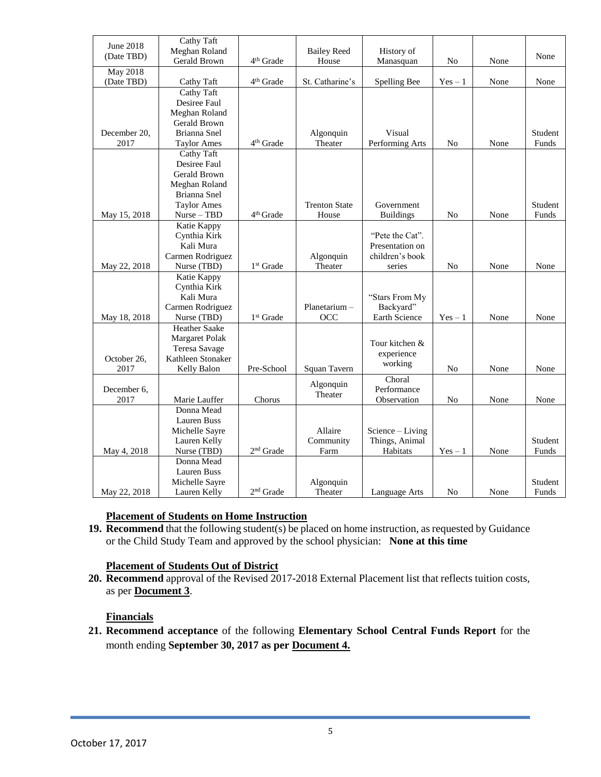| <b>June 2018</b>       | Cathy Taft                     |                       |                      |                                    |           |      |         |
|------------------------|--------------------------------|-----------------------|----------------------|------------------------------------|-----------|------|---------|
| (Date TBD)             | Meghan Roland                  |                       | <b>Bailey Reed</b>   | History of                         |           |      | None    |
|                        | Gerald Brown                   | 4 <sup>th</sup> Grade | House                | Manasquan                          | No        | None |         |
| May 2018<br>(Date TBD) | Cathy Taft                     | 4 <sup>th</sup> Grade | St. Catharine's      | Spelling Bee                       | $Yes - 1$ | None | None    |
|                        | Cathy Taft                     |                       |                      |                                    |           |      |         |
|                        | Desiree Faul                   |                       |                      |                                    |           |      |         |
|                        | Meghan Roland                  |                       |                      |                                    |           |      |         |
|                        | Gerald Brown                   |                       |                      |                                    |           |      |         |
| December 20,           | Brianna Snel                   |                       | Algonquin            | Visual                             |           |      | Student |
| 2017                   | <b>Taylor Ames</b>             | 4 <sup>th</sup> Grade | Theater              | Performing Arts                    | No        | None | Funds   |
|                        | Cathy Taft                     |                       |                      |                                    |           |      |         |
|                        | Desiree Faul                   |                       |                      |                                    |           |      |         |
|                        | Gerald Brown                   |                       |                      |                                    |           |      |         |
|                        | Meghan Roland                  |                       |                      |                                    |           |      |         |
|                        | Brianna Snel                   |                       |                      |                                    |           |      |         |
|                        | <b>Taylor Ames</b>             |                       | <b>Trenton State</b> | Government                         |           |      | Student |
| May 15, 2018           | $Nurse - TBD$                  | 4 <sup>th</sup> Grade | House                | <b>Buildings</b>                   | No        | None | Funds   |
|                        | Katie Kappy                    |                       |                      |                                    |           |      |         |
|                        | Cynthia Kirk                   |                       |                      | "Pete the Cat".                    |           |      |         |
|                        | Kali Mura                      |                       |                      | Presentation on                    |           |      |         |
|                        | Carmen Rodriguez               |                       | Algonquin            | children's book                    |           |      |         |
| May 22, 2018           | Nurse (TBD)                    | 1 <sup>st</sup> Grade | Theater              | series                             | No        | None | None    |
|                        | Katie Kappy                    |                       |                      |                                    |           |      |         |
|                        | Cynthia Kirk                   |                       |                      |                                    |           |      |         |
|                        | Kali Mura                      |                       |                      | "Stars From My                     |           |      |         |
|                        | Carmen Rodriguez               |                       | Planetarium -        | Backyard"                          |           |      |         |
| May 18, 2018           | Nurse (TBD)                    | 1 <sup>st</sup> Grade | OCC                  | Earth Science                      | $Yes - 1$ | None | None    |
|                        | Heather Saake                  |                       |                      |                                    |           |      |         |
|                        | Margaret Polak                 |                       |                      | Tour kitchen &                     |           |      |         |
|                        | Teresa Savage                  |                       |                      | experience                         |           |      |         |
| October 26,            | Kathleen Stonaker              |                       |                      | working                            |           |      |         |
| 2017                   | Kelly Balon                    | Pre-School            | Squan Tavern         |                                    | No        | None | None    |
|                        |                                |                       | Algonquin            | Choral                             |           |      |         |
| December 6,            |                                |                       | Theater              | Performance                        |           |      |         |
| 2017                   | Marie Lauffer<br>Donna Mead    | Chorus                |                      | Observation                        | No        | None | None    |
|                        | <b>Lauren Buss</b>             |                       |                      |                                    |           |      |         |
|                        |                                |                       | Allaire              |                                    |           |      |         |
|                        | Michelle Sayre<br>Lauren Kelly |                       | Community            | Science - Living<br>Things, Animal |           |      | Student |
| May 4, 2018            | Nurse (TBD)                    | 2 <sup>nd</sup> Grade | Farm                 | Habitats                           |           | None | Funds   |
|                        | Donna Mead                     |                       |                      |                                    | $Yes - 1$ |      |         |
|                        | Lauren Buss                    |                       |                      |                                    |           |      |         |
|                        | Michelle Sayre                 |                       | Algonquin            |                                    |           |      | Student |
| May 22, 2018           | Lauren Kelly                   | $2^{\rm nd}$ Grade    | Theater              | Language Arts                      | No        | None | Funds   |
|                        |                                |                       |                      |                                    |           |      |         |

### **Placement of Students on Home Instruction**

**19. Recommend** that the following student(s) be placed on home instruction, as requested by Guidance or the Child Study Team and approved by the school physician: **None at this time**

### **Placement of Students Out of District**

**20. Recommend** approval of the Revised 2017-2018 External Placement list that reflects tuition costs, as per **Document 3**.

### **Financials**

**21. Recommend acceptance** of the following **Elementary School Central Funds Report** for the month ending **September 30, 2017 as per Document 4.**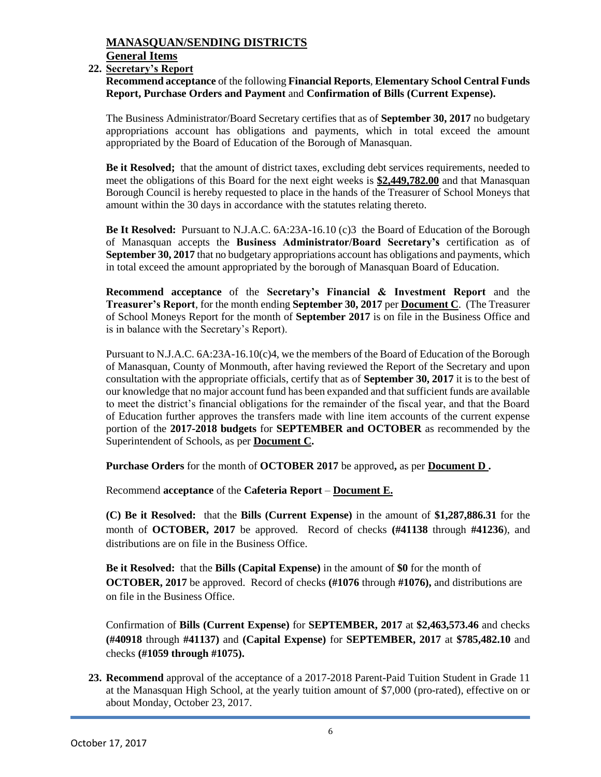## **MANASQUAN/SENDING DISTRICTS**

**General Items**

### **22. Secretary's Report**

**Recommend acceptance** of the following **Financial Reports**, **Elementary School Central Funds Report, Purchase Orders and Payment** and **Confirmation of Bills (Current Expense).**

The Business Administrator/Board Secretary certifies that as of **September 30, 2017** no budgetary appropriations account has obligations and payments, which in total exceed the amount appropriated by the Board of Education of the Borough of Manasquan.

**Be it Resolved;** that the amount of district taxes, excluding debt services requirements, needed to meet the obligations of this Board for the next eight weeks is **\$2,449,782.00** and that Manasquan Borough Council is hereby requested to place in the hands of the Treasurer of School Moneys that amount within the 30 days in accordance with the statutes relating thereto.

**Be It Resolved:** Pursuant to N.J.A.C. 6A:23A-16.10 (c)3 the Board of Education of the Borough of Manasquan accepts the **Business Administrator/Board Secretary's** certification as of **September 30, 2017** that no budgetary appropriations account has obligations and payments, which in total exceed the amount appropriated by the borough of Manasquan Board of Education.

**Recommend acceptance** of the **Secretary's Financial & Investment Report** and the **Treasurer's Report**, for the month ending **September 30, 2017** per **Document C**. (The Treasurer of School Moneys Report for the month of **September 2017** is on file in the Business Office and is in balance with the Secretary's Report).

Pursuant to N.J.A.C. 6A:23A-16.10(c)4, we the members of the Board of Education of the Borough of Manasquan, County of Monmouth, after having reviewed the Report of the Secretary and upon consultation with the appropriate officials, certify that as of **September 30, 2017** it is to the best of our knowledge that no major account fund has been expanded and that sufficient funds are available to meet the district's financial obligations for the remainder of the fiscal year, and that the Board of Education further approves the transfers made with line item accounts of the current expense portion of the **2017-2018 budgets** for **SEPTEMBER and OCTOBER** as recommended by the Superintendent of Schools, as per **Document C.**

**Purchase Orders** for the month of **OCTOBER 2017** be approved**,** as per **Document D .**

Recommend **acceptance** of the **Cafeteria Report** – **Document E.**

**(C) Be it Resolved:** that the **Bills (Current Expense)** in the amount of **\$1,287,886.31** for the month of **OCTOBER, 2017** be approved. Record of checks **(#41138** through **#41236**), and distributions are on file in the Business Office.

**Be it Resolved:** that the **Bills (Capital Expense)** in the amount of **\$0** for the month of **OCTOBER, 2017** be approved. Record of checks **(#1076** through **#1076),** and distributions are on file in the Business Office.

Confirmation of **Bills (Current Expense)** for **SEPTEMBER, 2017** at **\$2,463,573.46** and checks **(#40918** through **#41137)** and **(Capital Expense)** for **SEPTEMBER, 2017** at **\$785,482.10** and checks **(#1059 through #1075).**

**23. Recommend** approval of the acceptance of a 2017-2018 Parent-Paid Tuition Student in Grade 11 at the Manasquan High School, at the yearly tuition amount of \$7,000 (pro-rated), effective on or about Monday, October 23, 2017.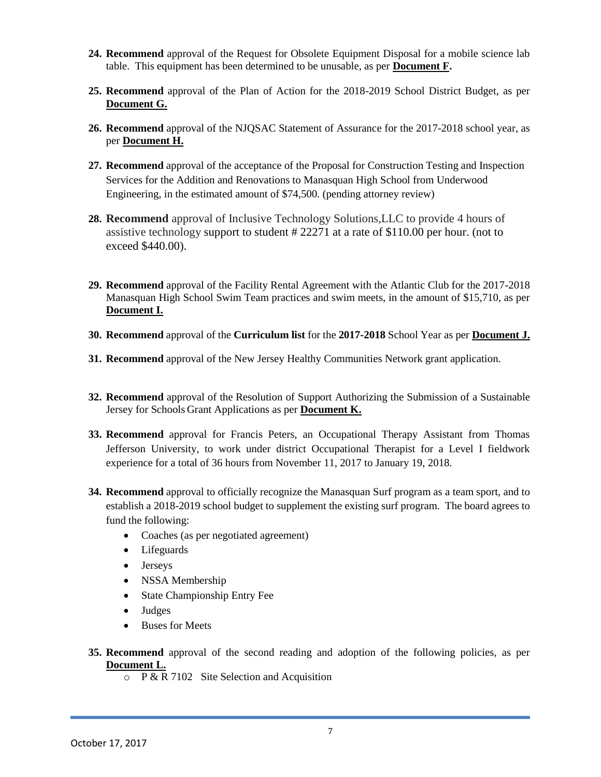- **24. Recommend** approval of the Request for Obsolete Equipment Disposal for a mobile science lab table. This equipment has been determined to be unusable, as per **Document F.**
- **25. Recommend** approval of the Plan of Action for the 2018-2019 School District Budget, as per **Document G.**
- **26. Recommend** approval of the NJQSAC Statement of Assurance for the 2017-2018 school year, as per **Document H.**
- **27. Recommend** approval of the acceptance of the Proposal for Construction Testing and Inspection Services for the Addition and Renovations to Manasquan High School from Underwood Engineering, in the estimated amount of \$74,500. (pending attorney review)
- **28. Recommend** approval of Inclusive Technology Solutions,LLC to provide 4 hours of assistive technology support to student # 22271 at a rate of \$110.00 per hour. (not to exceed \$440.00).
- **29. Recommend** approval of the Facility Rental Agreement with the Atlantic Club for the 2017-2018 Manasquan High School Swim Team practices and swim meets, in the amount of \$15,710, as per **Document I.**
- **30. Recommend** approval of the **Curriculum list** for the **2017-2018** School Year as per **Document J.**
- **31. Recommend** approval of the New Jersey Healthy Communities Network grant application.
- **32. Recommend** approval of the Resolution of Support Authorizing the Submission of a Sustainable Jersey for Schools Grant Applications as per **Document K.**
- **33. Recommend** approval for Francis Peters, an Occupational Therapy Assistant from Thomas Jefferson University, to work under district Occupational Therapist for a Level I fieldwork experience for a total of 36 hours from November 11, 2017 to January 19, 2018.
- **34. Recommend** approval to officially recognize the Manasquan Surf program as a team sport, and to establish a 2018-2019 school budget to supplement the existing surf program. The board agrees to fund the following:
	- Coaches (as per negotiated agreement)
	- Lifeguards
	- Jerseys
	- NSSA Membership
	- State Championship Entry Fee
	- Judges
	- Buses for Meets
- **35. Recommend** approval of the second reading and adoption of the following policies, as per **Document L.**
	- $\circ$  P & R 7102 Site Selection and Acquisition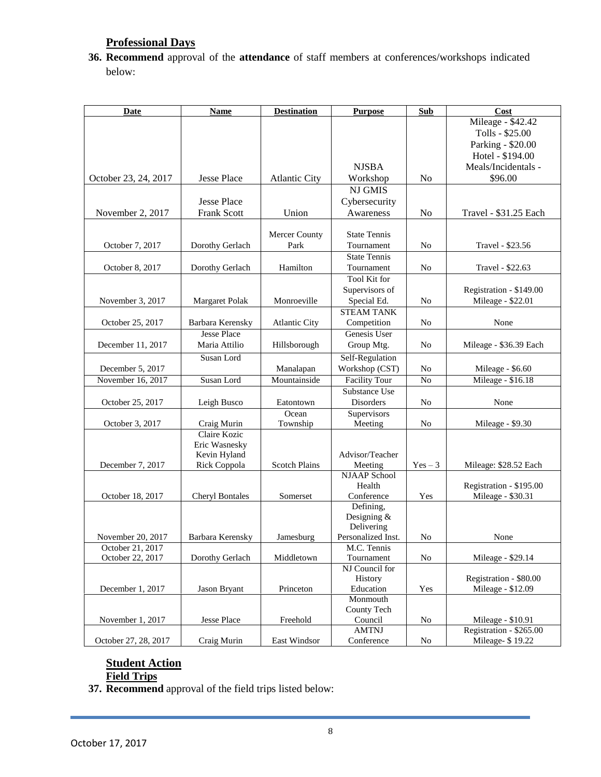## **Professional Days**

**36. Recommend** approval of the **attendance** of staff members at conferences/workshops indicated below:

| <b>Date</b>          | <b>Name</b>            | <b>Destination</b>   | <b>Purpose</b>           | <b>Sub</b>     | Cost                    |
|----------------------|------------------------|----------------------|--------------------------|----------------|-------------------------|
|                      |                        |                      |                          |                | Mileage - \$42.42       |
|                      |                        |                      |                          |                | Tolls - \$25.00         |
|                      |                        |                      |                          |                | Parking - \$20.00       |
|                      |                        |                      |                          |                | Hotel - \$194.00        |
|                      |                        |                      | <b>NJSBA</b>             |                | Meals/Incidentals -     |
| October 23, 24, 2017 | Jesse Place            | <b>Atlantic City</b> | Workshop                 | No             | \$96.00                 |
|                      |                        |                      | <b>NJ GMIS</b>           |                |                         |
|                      | <b>Jesse Place</b>     |                      | Cybersecurity            |                |                         |
| November 2, 2017     | Frank Scott            | Union                | Awareness                | No             | Travel - \$31.25 Each   |
|                      |                        |                      |                          |                |                         |
|                      |                        | Mercer County        | <b>State Tennis</b>      |                |                         |
| October 7, 2017      | Dorothy Gerlach        | Park                 | Tournament               | N <sub>0</sub> | Travel - \$23.56        |
|                      |                        |                      | <b>State Tennis</b>      |                |                         |
| October 8, 2017      | Dorothy Gerlach        | Hamilton             | Tournament               | N <sub>0</sub> | Travel - \$22.63        |
|                      |                        |                      | <b>Tool Kit for</b>      |                |                         |
|                      |                        |                      | Supervisors of           |                | Registration - \$149.00 |
| November 3, 2017     | Margaret Polak         | Monroeville          | Special Ed.              | N <sub>0</sub> | Mileage - \$22.01       |
|                      |                        |                      | <b>STEAM TANK</b>        |                |                         |
| October 25, 2017     | Barbara Kerensky       | <b>Atlantic City</b> | Competition              | N <sub>0</sub> | None                    |
|                      | <b>Jesse Place</b>     |                      | Genesis User             |                |                         |
| December 11, 2017    | Maria Attilio          | Hillsborough         | Group Mtg.               | N <sub>0</sub> | Mileage - \$36.39 Each  |
|                      | Susan Lord             |                      | Self-Regulation          |                |                         |
| December 5, 2017     |                        | Manalapan            | Workshop (CST)           | No             | Mileage - \$6.60        |
| November 16, 2017    | Susan Lord             | Mountainside         | <b>Facility Tour</b>     | N <sub>o</sub> | Mileage - \$16.18       |
|                      |                        |                      | Substance Use            |                |                         |
| October 25, 2017     | Leigh Busco            | Eatontown            | Disorders                | N <sub>0</sub> | None                    |
|                      |                        | Ocean                | Supervisors              |                |                         |
| October 3, 2017      | Craig Murin            | Township             | Meeting                  | N <sub>o</sub> | Mileage - \$9.30        |
|                      | Claire Kozic           |                      |                          |                |                         |
|                      | Eric Wasnesky          |                      |                          |                |                         |
|                      | Kevin Hyland           |                      | Advisor/Teacher          |                |                         |
| December 7, 2017     | Rick Coppola           | <b>Scotch Plains</b> | Meeting                  | $Yes - 3$      | Mileage: \$28.52 Each   |
|                      |                        |                      | <b>NJAAP</b> School      |                |                         |
|                      |                        |                      | Health                   |                | Registration - \$195.00 |
| October 18, 2017     | <b>Cheryl Bontales</b> | Somerset             | Conference               | Yes            | Mileage - \$30.31       |
|                      |                        |                      | Defining,<br>Designing & |                |                         |
|                      |                        |                      | Delivering               |                |                         |
| November 20, 2017    | Barbara Kerensky       | Jamesburg            | Personalized Inst.       | No             | None                    |
| October 21, 2017     |                        |                      | M.C. Tennis              |                |                         |
| October 22, 2017     | Dorothy Gerlach        | Middletown           | Tournament               | No             | Mileage - \$29.14       |
|                      |                        |                      | NJ Council for           |                |                         |
|                      |                        |                      | History                  |                | Registration - \$80.00  |
| December 1, 2017     | Jason Bryant           | Princeton            | Education                | Yes            | Mileage - \$12.09       |
|                      |                        |                      | Monmouth                 |                |                         |
|                      |                        |                      | County Tech              |                |                         |
| November 1, 2017     | Jesse Place            | Freehold             | Council                  | No             | Mileage - \$10.91       |
|                      |                        |                      | <b>AMTNJ</b>             |                | Registration - \$265.00 |
| October 27, 28, 2017 | Craig Murin            | East Windsor         | Conference               | No             | Mileage- \$19.22        |

### **Student Action Field Trips**

**37. Recommend** approval of the field trips listed below: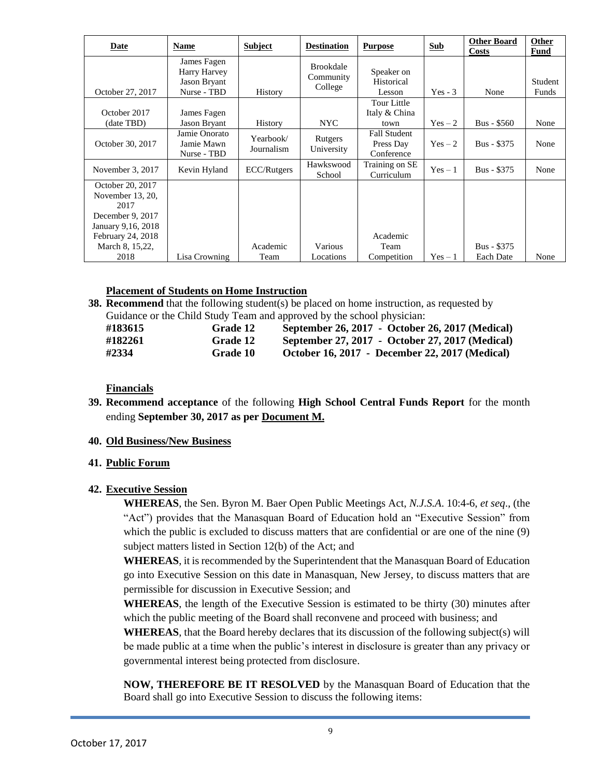| Date                                                                                                                                   | Name                                                       | <b>Subject</b>          | <b>Destination</b>                       | <b>Purpose</b>                                 | <b>Sub</b> | <b>Other Board</b><br><b>Costs</b> | Other<br>Fund    |
|----------------------------------------------------------------------------------------------------------------------------------------|------------------------------------------------------------|-------------------------|------------------------------------------|------------------------------------------------|------------|------------------------------------|------------------|
| October 27, 2017                                                                                                                       | James Fagen<br>Harry Harvey<br>Jason Bryant<br>Nurse - TBD | History                 | <b>Brookdale</b><br>Community<br>College | Speaker on<br>Historical<br>Lesson             | $Yes - 3$  | None                               | Student<br>Funds |
| October 2017<br>(date TBD)                                                                                                             | James Fagen<br>Jason Bryant                                | <b>History</b>          | NYC.                                     | Tour Little<br>Italy & China<br>town           | $Yes-2$    | Bus - \$560                        | None             |
| October 30, 2017                                                                                                                       | Jamie Onorato<br>Jamie Mawn<br>Nurse - TBD                 | Yearbook/<br>Journalism | Rutgers<br>University                    | <b>Fall Student</b><br>Press Day<br>Conference | $Yes-2$    | Bus - \$375                        | None             |
| November 3, 2017                                                                                                                       | Kevin Hyland                                               | ECC/Rutgers             | Hawkswood<br>School                      | Training on SE<br>Curriculum                   | $Yes - 1$  | Bus - \$375                        | None             |
| October 20, 2017<br>November 13, 20,<br>2017<br>December 9, 2017<br>January 9,16, 2018<br>February 24, 2018<br>March 8, 15,22,<br>2018 | Lisa Crowning                                              | Academic<br>Team        | Various<br>Locations                     | Academic<br>Team<br>Competition                | $Yes - 1$  | Bus - \$375<br><b>Each Date</b>    | None             |

#### **Placement of Students on Home Instruction**

**38. Recommend** that the following student(s) be placed on home instruction, as requested by Guidance or the Child Study Team and approved by the school physician:

| #183615 | <b>Grade 12</b> | September 26, 2017 - October 26, 2017 (Medical) |
|---------|-----------------|-------------------------------------------------|
| #182261 | Grade 12        | September 27, 2017 - October 27, 2017 (Medical) |
| #2334   | <b>Grade 10</b> | October 16, 2017 - December 22, 2017 (Medical)  |

**Financials**

**39. Recommend acceptance** of the following **High School Central Funds Report** for the month ending **September 30, 2017 as per Document M.**

#### **40. Old Business/New Business**

#### **41. Public Forum**

#### **42. Executive Session**

**WHEREAS**, the Sen. Byron M. Baer Open Public Meetings Act, *N.J.S.A*. 10:4-6, *et seq*., (the "Act") provides that the Manasquan Board of Education hold an "Executive Session" from which the public is excluded to discuss matters that are confidential or are one of the nine (9) subject matters listed in Section 12(b) of the Act; and

**WHEREAS**, it is recommended by the Superintendent that the Manasquan Board of Education go into Executive Session on this date in Manasquan, New Jersey, to discuss matters that are permissible for discussion in Executive Session; and

**WHEREAS**, the length of the Executive Session is estimated to be thirty (30) minutes after which the public meeting of the Board shall reconvene and proceed with business; and

**WHEREAS**, that the Board hereby declares that its discussion of the following subject(s) will be made public at a time when the public's interest in disclosure is greater than any privacy or governmental interest being protected from disclosure.

**NOW, THEREFORE BE IT RESOLVED** by the Manasquan Board of Education that the Board shall go into Executive Session to discuss the following items: